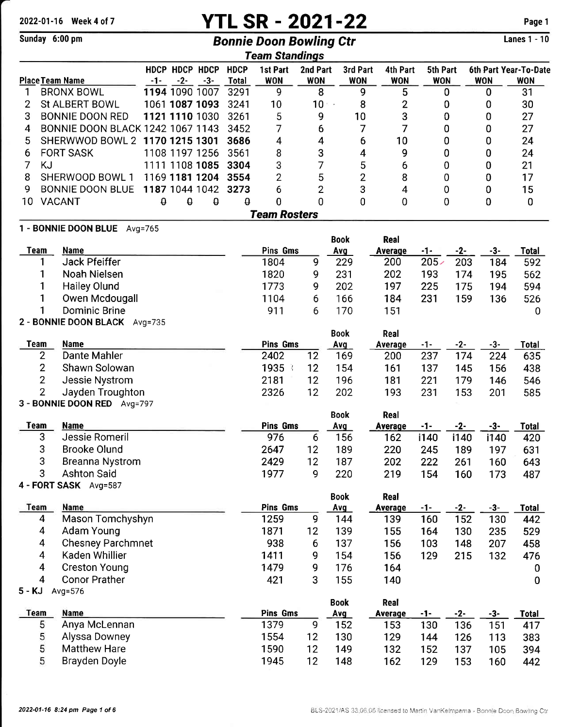# 2022-01-16 Week 4 of 7 **YTL SR - 2021-22** Page 1

### Sunday 6:00 pm **Bonnie Doon Bowling Ctr**

Lanes 1 - 10

|                 |                                             |       |                       |          |              | <b>Team Standings</b> |                 |                    |                 |                  |       |            |                       |
|-----------------|---------------------------------------------|-------|-----------------------|----------|--------------|-----------------------|-----------------|--------------------|-----------------|------------------|-------|------------|-----------------------|
|                 |                                             |       | <b>HDCP HDCP HDCP</b> |          | <b>HDCP</b>  | 1st Part              | 2nd Part        | 3rd Part           | 4th Part        | 5th Part         |       |            | 6th Part Year-To-Date |
| Place Team Name |                                             | $-1-$ | $-2-$                 | $-3-$    | <b>Total</b> | <b>WON</b>            | <b>WON</b>      | <b>WON</b>         | <b>WON</b>      | <b>WON</b>       |       | <b>WON</b> | <b>WON</b>            |
| 1               | <b>BRONX BOWL</b>                           |       | 1194 1090 1007        |          | 3291         | 9                     | 8               |                    | 5<br>9          |                  | 0     | 0          | 31                    |
| 2               | St ALBERT BOWL                              |       | 1061 1087 1093        |          | 3241         | 10                    | 10 <sub>1</sub> | $\sim$             | 8<br>2          |                  | 0     | 0          | 30                    |
| 3               | <b>BONNIE DOON RED</b>                      |       | 1121 1110 1030        |          | 3261         | 5                     | 9               | 10                 | 3               |                  | 0     | 0          | 27                    |
| 4               | <b>BONNIE DOON BLACK 1242 1067 1143</b>     |       |                       |          | 3452         | 7                     | 6               |                    | 7<br>7          |                  | 0     | 0          | 27                    |
| 5               | SHERWWOD BOWL 2 1170 1215 1301              |       |                       |          | 3686         | 4                     | 4               |                    | 10<br>6         |                  | 0     | 0          | 24                    |
| 6               | <b>FORT SASK</b>                            |       | 1108 1197 1256        |          | 3561         | 8                     | 3               |                    | 9<br>4          |                  | 0     | 0          | 24                    |
| 7<br>KJ         |                                             |       | 1111 1108 1085        |          | 3304         | 3                     | 7               |                    | 5<br>6          |                  | 0     | 0          | 21                    |
| 8               | SHERWOOD BOWL 1                             |       | 1169 1181 1204        |          | 3554         | $\overline{2}$        | 5               |                    | 2<br>8          |                  | 0     | 0          | 17                    |
| 9               | <b>BONNIE DOON BLUE</b>                     |       | 1187 1044 1042        |          | 3273         | 6                     | $\overline{2}$  |                    | 3<br>4          |                  | 0     | 0          | 15                    |
| 10              | <b>VACANT</b>                               | ٥     | $\theta$              | $\theta$ | θ            | 0                     | 0               |                    | 0<br>0          |                  | 0     | 0          | 0                     |
|                 |                                             |       |                       |          |              | <b>Team Rosters</b>   |                 |                    |                 |                  |       |            |                       |
|                 | 1 - BONNIE DOON BLUE Avg=765                |       |                       |          |              |                       |                 | <b>Book</b>        | Real            |                  |       |            |                       |
| <b>Team</b>     | <b>Name</b>                                 |       |                       |          |              | Pins Gms              |                 | Avg                | <b>Average</b>  | $-1-$            | $-2-$ | $-3-$      | <b>Total</b>          |
|                 | <b>Jack Pfeiffer</b>                        |       |                       |          |              | 1804                  | 9               | 229                | 200             | 205 <sub>2</sub> | 203   | 184        | 592                   |
|                 | <b>Noah Nielsen</b>                         |       |                       |          |              | 1820                  | 9               | 231                | 202             | 193              | 174   | 195        | 562                   |
|                 | <b>Hailey Olund</b>                         |       |                       |          |              | 1773                  | 9               | 202                | 197             | 225              | 175   | 194        | 594                   |
| 1               | Owen Mcdougall                              |       |                       |          |              | 1104                  | 6               | 166                | 184             | 231              | 159   | 136        | 526                   |
| 1               | <b>Dominic Brine</b>                        |       |                       |          |              | 911                   | 6               | 170                | 151             |                  |       |            | 0                     |
|                 | 2 - BONNIE DOON BLACK Avg=735               |       |                       |          |              |                       |                 |                    |                 |                  |       |            |                       |
|                 |                                             |       |                       |          |              |                       |                 | <b>Book</b>        | Real            |                  |       |            |                       |
| <b>Team</b>     | <b>Name</b>                                 |       |                       |          |              | <b>Pins Gms</b>       |                 | Avg                | <b>Average</b>  | $-1-$            | $-2-$ | $-3-$      | <b>Total</b>          |
| 2               | Dante Mahler                                |       |                       |          |              | 2402                  | 12              | 169                | 200             | 237              | 174   | 224        | 635                   |
| $\overline{2}$  | Shawn Solowan                               |       |                       |          |              | 1935 3                | 12              | 154                | 161             | 137              | 145   | 156        | 438                   |
| $\overline{2}$  | Jessie Nystrom                              |       |                       |          |              | 2181                  | 12              | 196                | 181             | 221              | 179   | 146        | 546                   |
| $\overline{2}$  | Jayden Troughton                            |       |                       |          |              | 2326                  | 12              | 202                | 193             | 231              | 153   | 201        | 585                   |
|                 | 3 - BONNIE DOON RED Avg=797                 |       |                       |          |              |                       |                 |                    |                 |                  |       |            |                       |
|                 |                                             |       |                       |          |              |                       |                 | <b>Book</b>        | Real            |                  |       |            |                       |
| <b>Team</b>     | <b>Name</b><br>Jessie Romeril               |       |                       |          |              | <b>Pins Gms</b>       |                 | Avg                | <b>Average</b>  | -1-              | $-2-$ | $-3-$      | <b>Total</b>          |
| 3               |                                             |       |                       |          |              | 976                   | 6               | 156                | 162             | i140             | i140  | i140       | 420                   |
| 3               | <b>Brooke Olund</b>                         |       |                       |          |              | 2647                  | 12              | 189                | 220             | 245              | 189   | 197        | 631                   |
| 3<br>3          | Breanna Nystrom                             |       |                       |          |              | 2429                  | 12              | 187                | 202             | 222              | 261   | 160        | 643                   |
|                 | <b>Ashton Said</b><br>4 - FORT SASK Avg=587 |       |                       |          |              | 1977                  | 9               | 220                | 219             | 154              | 160   | 173        | 487                   |
|                 |                                             |       |                       |          |              |                       |                 | <b>Book</b>        | Real            |                  |       |            |                       |
| <b>Team</b>     | <b>Name</b>                                 |       |                       |          |              | <b>Pins Gms</b>       |                 | Avg                | <b>Average</b>  | <u>-1-</u>       | $-2-$ | $-3-$      | <b>Total</b>          |
| $\overline{4}$  | Mason Tomchyshyn                            |       |                       |          |              | 1259                  | $\overline{9}$  | 144                | 139             | 160              | 152   | 130        | 442                   |
| 4               | Adam Young                                  |       |                       |          |              | 1871                  | 12              | 139                | 155             | 164              | 130   | 235        | 529                   |
| 4               | <b>Chesney Parchmnet</b>                    |       |                       |          |              | 938                   | 6               | 137                | 156             | 103              | 148   | 207        | 458                   |
| $\overline{4}$  | Kaden Whillier                              |       |                       |          |              | 1411                  | 9               | 154                | 156             | 129              | 215   | 132        | 476                   |
| 4               | <b>Creston Young</b>                        |       |                       |          |              | 1479                  | 9               | 176                | 164             |                  |       |            | 0                     |
| 4               | <b>Conor Prather</b>                        |       |                       |          |              | 421                   | 3               | 155                | 140             |                  |       |            | $\bf{0}$              |
| 5 - KJ          | Avg=576                                     |       |                       |          |              |                       |                 |                    |                 |                  |       |            |                       |
| <b>Team</b>     | Name                                        |       |                       |          |              | <b>Pins Gms</b>       |                 | <b>Book</b><br>Avg | Real<br>Average | -1-              | $-2-$ | $-3-$      | <b>Total</b>          |
| 5               | Anya McLennan                               |       |                       |          |              | 1379                  | 9               | 152                | 153             | 130              | 136   | 151        | 417                   |
| 5               | Alyssa Downey                               |       |                       |          |              | 1554                  | 12              | 130                | 129             | 144              | 126   | 113        | 383                   |
| 5               | <b>Matthew Hare</b>                         |       |                       |          |              | 1590                  | 12              | 149                | 132             | 152              | 137   | 105        | 394                   |
| 5               | Brayden Doyle                               |       |                       |          |              | 1945                  | 12              | 148                | 162             | 129              | 153   | 160        | 442                   |
|                 |                                             |       |                       |          |              |                       |                 |                    |                 |                  |       |            |                       |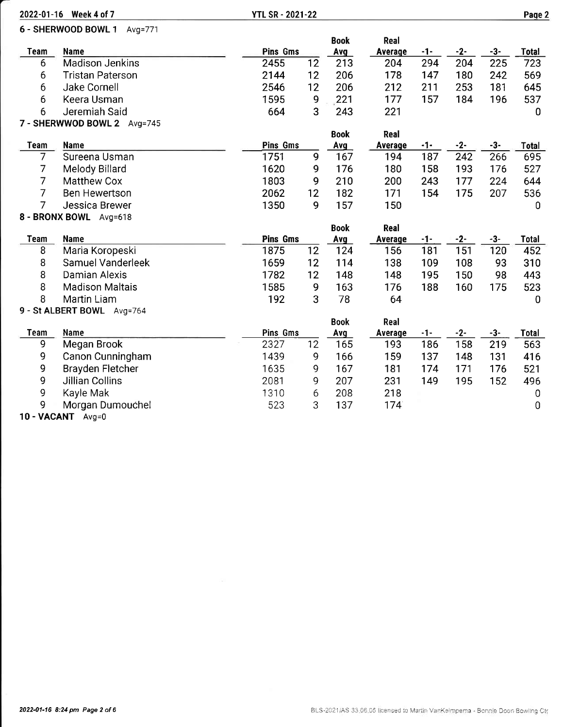|                | 2022-01-16 Week 4 of 7      | <b>YTL SR - 2021-22</b> |    |             |                |       |       |       | Page 2       |
|----------------|-----------------------------|-------------------------|----|-------------|----------------|-------|-------|-------|--------------|
|                | 6 - SHERWOOD BOWL 1 Avg=771 |                         |    |             |                |       |       |       |              |
|                |                             |                         |    | <b>Book</b> | Real           |       |       |       |              |
| <b>Team</b>    | Name                        | <b>Pins Gms</b>         |    | Avg         | Average        | $-1-$ | $-2-$ | $-3-$ | <b>Total</b> |
| 6              | <b>Madison Jenkins</b>      | 2455                    | 12 | 213         | 204            | 294   | 204   | 225   | 723          |
| 6              | <b>Tristan Paterson</b>     | 2144                    | 12 | 206         | 178            | 147   | 180   | 242   | 569          |
| 6              | Jake Cornell                | 2546                    | 12 | 206         | 212            | 211   | 253   | 181   | 645          |
| 6              | Keera Usman                 | 1595                    | 9  | 221         | 177            | 157   | 184   | 196   | 537          |
| 6              | Jeremiah Said               | 664                     | 3  | 243         | 221            |       |       |       | 0            |
|                | 7 - SHERWWOD BOWL 2 Avg=745 |                         |    |             |                |       |       |       |              |
|                |                             |                         |    | <b>Book</b> | <b>Real</b>    |       |       |       |              |
| <b>Team</b>    | Name                        | Pins Gms                |    | Avg         | <b>Average</b> | $-1-$ | $-2-$ | -3-   | <b>Total</b> |
| 7              | Sureena Usman               | 1751                    | 9  | 167         | 194            | 187   | 242   | 266   | 695          |
| $\overline{7}$ | <b>Melody Billard</b>       | 1620                    | 9  | 176         | 180            | 158   | 193   | 176   | 527          |
| $\overline{7}$ | <b>Matthew Cox</b>          | 1803                    | 9  | 210         | 200            | 243   | 177   | 224   | 644          |
| $\overline{7}$ | <b>Ben Hewertson</b>        | 2062                    | 12 | 182         | 171            | 154   | 175   | 207   | 536          |
| $\overline{7}$ | Jessica Brewer              | 1350                    | 9  | 157         | 150            |       |       |       | 0            |
|                | 8 - BRONX BOWL Avg=618      |                         |    |             |                |       |       |       |              |
|                |                             |                         |    | <b>Book</b> | Real           |       |       |       |              |
| Team           | <b>Name</b>                 | <b>Pins Gms</b>         |    | <b>Avg</b>  | <b>Average</b> | $-1-$ | $-2-$ | $-3-$ | <b>Total</b> |
| 8              | Maria Koropeski             | 1875                    | 12 | 124         | 156            | 181   | 151   | 120   | 452          |
| 8              | Samuel Vanderleek           | 1659                    | 12 | 114         | 138            | 109   | 108   | 93    | 310          |
| 8              | Damian Alexis               | 1782                    | 12 | 148         | 148            | 195   | 150   | 98    | 443          |
| 8              | <b>Madison Maltais</b>      | 1585                    | 9  | 163         | 176            | 188   | 160   | 175   | 523          |
| 8              | Martin Liam                 | 192                     | 3  | 78          | 64             |       |       |       | $\mathbf 0$  |
|                | 9 - St ALBERT BOWL Avg=764  |                         |    | <b>Book</b> | Real           |       |       |       |              |
| Team           | Name                        | Pins Gms                |    | Avg         | Average        | -1-   | $-2-$ | $-3-$ | Total        |
| 9              | Megan Brook                 | 2327                    | 12 | 165         | 193            | 186   | 158   | 219   | 563          |
| 9              | Canon Cunningham            | 1439                    | 9  | 166         | 159            | 137   | 148   | 131   | 416          |
| 9              | <b>Brayden Fletcher</b>     | 1635                    | 9  | 167         | 181            | 174   | 171   | 176   | 521          |
| 9              | Jillian Collins             | 2081                    | 9  | 207         | 231            | 149   | 195   | 152   | 496          |
| 9              | Kayle Mak                   | 1310                    | 6  | 208         | 218            |       |       |       | 0            |
| 9              | Morgan Dumouchel            | 523                     | 3  | 137         | 174            |       |       |       | 0            |
|                |                             |                         |    |             |                |       |       |       |              |

10 - VACANT Avg=0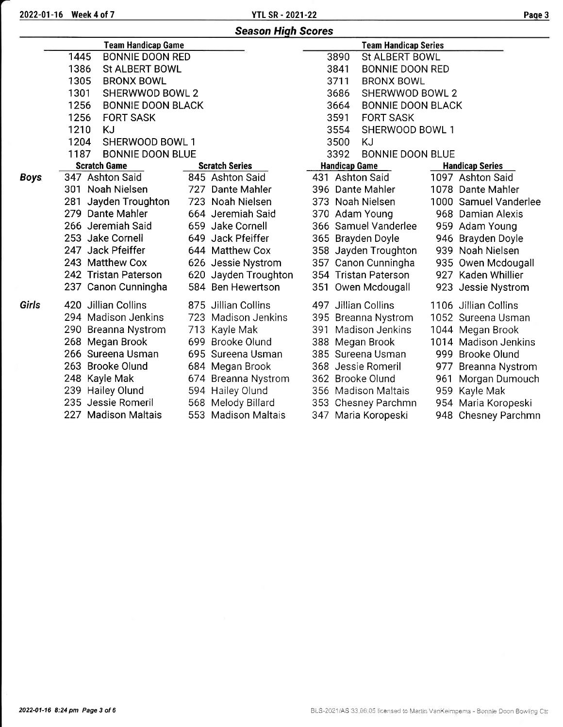| <b>Season High Scores</b> |  |
|---------------------------|--|
|---------------------------|--|

|             | <b>Team Handicap Game</b>        |                       | <b>Team Handicap Series</b>      |                        |
|-------------|----------------------------------|-----------------------|----------------------------------|------------------------|
|             | 1445<br><b>BONNIE DOON RED</b>   |                       | 3890<br>St ALBERT BOWL           |                        |
|             | 1386<br>St ALBERT BOWL           |                       | 3841<br><b>BONNIE DOON RED</b>   |                        |
|             | 1305<br><b>BRONX BOWL</b>        |                       | 3711<br><b>BRONX BOWL</b>        |                        |
|             | 1301<br><b>SHERWWOD BOWL 2</b>   |                       | 3686<br>SHERWWOD BOWL 2          |                        |
|             | 1256<br><b>BONNIE DOON BLACK</b> |                       | 3664<br><b>BONNIE DOON BLACK</b> |                        |
|             | 1256<br><b>FORT SASK</b>         |                       | 3591<br><b>FORT SASK</b>         |                        |
|             | 1210<br>KJ                       |                       | 3554<br>SHERWOOD BOWL 1          |                        |
|             | 1204<br>SHERWOOD BOWL 1          |                       | 3500<br>KJ                       |                        |
|             | 1187<br><b>BONNIE DOON BLUE</b>  |                       | <b>BONNIE DOON BLUE</b><br>3392  |                        |
|             | <b>Scratch Game</b>              | <b>Scratch Series</b> | <b>Handicap Game</b>             | <b>Handicap Series</b> |
| <b>Boys</b> | 347 Ashton Said                  | 845 Ashton Said       | 431 Ashton Said                  | 1097 Ashton Said       |
|             | 301 Noah Nielsen                 | 727 Dante Mahler      | 396 Dante Mahler                 | 1078 Dante Mahler      |
|             | Jayden Troughton<br>281          | 723 Noah Nielsen      | 373 Noah Nielsen                 | 1000 Samuel Vanderlee  |
|             | 279 Dante Mahler                 | 664 Jeremiah Said     | 370 Adam Young                   | 968 Damian Alexis      |
|             | 266 Jeremiah Said                | 659 Jake Cornell      | 366 Samuel Vanderlee             | 959 Adam Young         |
|             | 253 Jake Cornell                 | 649 Jack Pfeiffer     | 365 Brayden Doyle                | 946 Brayden Doyle      |
|             | 247 Jack Pfeiffer                | 644 Matthew Cox       | 358 Jayden Troughton             | 939 Noah Nielsen       |
|             | 243 Matthew Cox                  | 626 Jessie Nystrom    | 357 Canon Cunningha              | 935 Owen Mcdougall     |
|             | 242 Tristan Paterson             | 620 Jayden Troughton  | 354 Tristan Paterson             | 927 Kaden Whillier     |
|             | 237 Canon Cunningha              | 584 Ben Hewertson     | 351 Owen Mcdougall               | 923 Jessie Nystrom     |
| Girls       | 420 Jillian Collins              | 875 Jillian Collins   | 497 Jillian Collins              | 1106 Jillian Collins   |
|             | 294 Madison Jenkins              | 723 Madison Jenkins   | 395 Breanna Nystrom              | 1052 Sureena Usman     |
|             | 290 Breanna Nystrom              | 713 Kayle Mak         | 391 Madison Jenkins              | 1044 Megan Brook       |
|             | 268 Megan Brook                  | 699 Brooke Olund      | 388 Megan Brook                  | 1014 Madison Jenkins   |
|             | 266 Sureena Usman                | 695 Sureena Usman     | 385 Sureena Usman                | 999 Brooke Olund       |
|             | 263 Brooke Olund                 | 684 Megan Brook       | 368 Jessie Romeril               | 977 Breanna Nystrom    |
|             | 248 Kayle Mak                    | 674 Breanna Nystrom   | 362 Brooke Olund                 | 961 Morgan Dumouch     |
|             | 239 Hailey Olund                 | 594 Hailey Olund      | 356 Madison Maltais              | 959 Kayle Mak          |
|             | 235 Jessie Romeril               | 568 Melody Billard    | 353 Chesney Parchmn              | 954 Maria Koropeski    |
|             | 227 Madison Maltais              | 553 Madison Maltais   | 347 Maria Koropeski              | 948 Chesney Parchmn    |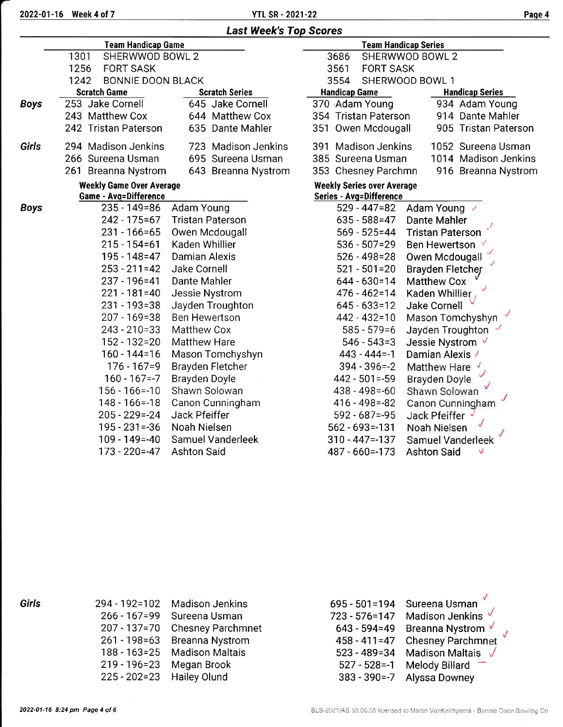2022-01-16 Week 4 of 7 YTL SR -2021-22 Paqe 4

|             | <b>Last Week's Top Scores</b>                                   |                         |                                                                     |                         |  |  |  |  |  |
|-------------|-----------------------------------------------------------------|-------------------------|---------------------------------------------------------------------|-------------------------|--|--|--|--|--|
|             | <b>Team Handicap Game</b>                                       |                         | <b>Team Handicap Series</b>                                         |                         |  |  |  |  |  |
|             | 1301<br>SHERWWOD BOWL 2                                         |                         | 3686                                                                | SHERWWOD BOWL 2         |  |  |  |  |  |
|             | 1256<br><b>FORT SASK</b>                                        |                         | 3561<br><b>FORT SASK</b>                                            |                         |  |  |  |  |  |
|             | <b>BONNIE DOON BLACK</b><br>1242                                |                         | 3554                                                                | SHERWOOD BOWL 1         |  |  |  |  |  |
|             | <b>Scratch Game</b>                                             | <b>Scratch Series</b>   | <b>Handicap Game</b>                                                | <b>Handicap Series</b>  |  |  |  |  |  |
| <b>Boys</b> | 253 Jake Cornell                                                | 645 Jake Cornell        | 370 Adam Young                                                      | 934 Adam Young          |  |  |  |  |  |
|             | 243 Matthew Cox                                                 | 644 Matthew Cox         | 354 Tristan Paterson                                                | 914 Dante Mahler        |  |  |  |  |  |
|             | 242 Tristan Paterson                                            | 635 Dante Mahler        | 351 Owen Mcdougall                                                  | 905 Tristan Paterson    |  |  |  |  |  |
| Girls       | 294 Madison Jenkins                                             | 723 Madison Jenkins     | 391 Madison Jenkins                                                 | 1052 Sureena Usman      |  |  |  |  |  |
|             | 266 Sureena Usman                                               | 695 Sureena Usman       | 385 Sureena Usman                                                   | 1014 Madison Jenkins    |  |  |  |  |  |
|             | 261 Breanna Nystrom                                             | 643 Breanna Nystrom     | 353 Chesney Parchmn                                                 | 916 Breanna Nystrom     |  |  |  |  |  |
|             | <b>Weekly Game Over Average</b><br><b>Game - Avg=Difference</b> |                         | <b>Weekly Series over Average</b><br><b>Series - Avg=Difference</b> |                         |  |  |  |  |  |
| <b>Boys</b> | 235 - 149 = 86                                                  | <b>Adam Young</b>       | 529 - 447=82                                                        | Adam Young √            |  |  |  |  |  |
|             | 242 - 175 = 67                                                  | <b>Tristan Paterson</b> | $635 - 588 = 47$                                                    | <b>Dante Mahler</b>     |  |  |  |  |  |
|             | $231 - 166 = 65$                                                | Owen Mcdougall          | $569 - 525 = 44$                                                    | <b>Tristan Paterson</b> |  |  |  |  |  |
|             | $215 - 154 = 61$                                                | Kaden Whillier          | $536 - 507 = 29$                                                    | Ben Hewertson ∨         |  |  |  |  |  |
|             | 195 - 148 = 47                                                  | Damian Alexis           | $526 - 498 = 28$                                                    | Owen Mcdougall          |  |  |  |  |  |
|             | 253 - 211=42                                                    | <b>Jake Cornell</b>     | $521 - 501 = 20$                                                    | <b>Brayden Fletcher</b> |  |  |  |  |  |
|             | 237 - 196 = 41                                                  | Dante Mahler            | $644 - 630 = 14$                                                    | <b>Matthew Cox</b>      |  |  |  |  |  |
|             | $221 - 181 = 40$                                                | Jessie Nystrom          | $476 - 462 = 14$                                                    | Kaden Whillier          |  |  |  |  |  |
|             | $231 - 193 = 38$                                                | Jayden Troughton        | $645 - 633 = 12$                                                    | <b>Jake Cornell</b>     |  |  |  |  |  |
|             | 207 - 169=38                                                    | <b>Ben Hewertson</b>    | $442 - 432 = 10$                                                    | Mason Tomchyshyn        |  |  |  |  |  |
|             | $243 - 210 = 33$                                                | Matthew Cox             | $585 - 579 = 6$                                                     | Jayden Troughton        |  |  |  |  |  |
|             | 152 - 132=20                                                    | <b>Matthew Hare</b>     | $546 - 543 = 3$                                                     | Jessie Nystrom √        |  |  |  |  |  |
|             | $160 - 144 = 16$                                                | Mason Tomchyshyn        | $443 - 444 = -1$                                                    | Damian Alexis √         |  |  |  |  |  |
|             | $176 - 167 = 9$                                                 | Brayden Fletcher        | $394 - 396 = -2$                                                    | Matthew Hare            |  |  |  |  |  |
|             | $160 - 167 = -7$                                                | Brayden Doyle           | $442 - 501 = -59$                                                   | Brayden Doyle           |  |  |  |  |  |
|             | $156 - 166 = -10$                                               | Shawn Solowan           | $438 - 498 = -60$                                                   | Shawn Solowan           |  |  |  |  |  |
|             | $148 - 166 = 18$                                                | Canon Cunningham        | $416 - 498 = -82$                                                   | Canon Cunningham        |  |  |  |  |  |
|             | $205 - 229 = -24$                                               | Jack Pfeiffer           | $592 - 687 = -95$                                                   | Jack Pfeiffer           |  |  |  |  |  |
|             | $195 - 231 = -36$                                               | Noah Nielsen            | $562 - 693 = -131$                                                  | Noah Nielsen            |  |  |  |  |  |
|             | $109 - 149 = -40$                                               | Samuel Vanderleek       | $310 - 447 = -137$                                                  | Samuel Vanderleek       |  |  |  |  |  |
|             | 173 - 220 = - 47                                                | <b>Ashton Said</b>      | 487 - 660 = - 173                                                   | <b>Ashton Said</b><br>V |  |  |  |  |  |

Girls

| 294 - 192=102    | <b>Madison Jenkins</b>   |
|------------------|--------------------------|
| $266 - 167 = 99$ | Sureena Usman            |
| $207 - 137 = 70$ | <b>Chesney Parchmnet</b> |
| $261 - 198 = 63$ | <b>Breanna Nystrom</b>   |
| $188 - 163 = 25$ | <b>Madison Maltais</b>   |
| $219 - 196 = 23$ | Megan Brook              |
| $225 - 202 = 23$ | <b>Hailey Olund</b>      |

J Sureena Usman sureena ∪sman<br>Madison Jenkins *√* Breanna Nystrom V <sub>,</sub> Chesney Parchmnet Madison Maltais  $\sqrt$ Melody Billard Alyssa Downey 695 - 501 = 194 723 - 576=147 643 - 594=49 458 - 411=47 523 - 489=34  $527 - 528 = -1$ 383 - 390=-7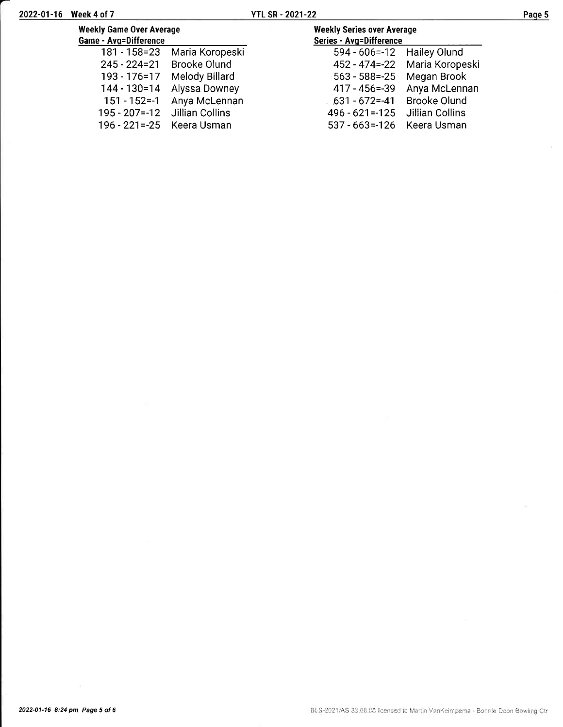196 - 221=-25 Keera Usman

| <b>Weekly Game Over Average</b><br>Game - Avg=Difference |                               | <b>Weekly Series over Average</b><br>Series - Avg=Difference |                                  |
|----------------------------------------------------------|-------------------------------|--------------------------------------------------------------|----------------------------------|
|                                                          | 181 - 158=23 Maria Koropeski  | 594 - 606 = - 12 Hailey Olund                                |                                  |
|                                                          | 245 - 224=21 Brooke Olund     |                                                              | 452 - 474 = - 22 Maria Koropeski |
| 193 - 176 = 17                                           | Melody Billard                | $563 - 588 = -25$                                            | Megan Brook                      |
|                                                          | 144 - 130=14 Alyssa Downey    | $417 - 456 = -39$                                            | Anya McLennan                    |
|                                                          | 151 - 152 = - 1 Anya McLennan | $631 - 672 = -41$                                            | <b>Brooke Olund</b>              |
| $195 - 207 = -12$                                        | Jillian Collins               | $496 - 621 = -125$                                           | Jillian Collins                  |
| 196 - 221 = - 25 Keera Usman                             |                               | 537 - 663 = - 126 Keera Usman                                |                                  |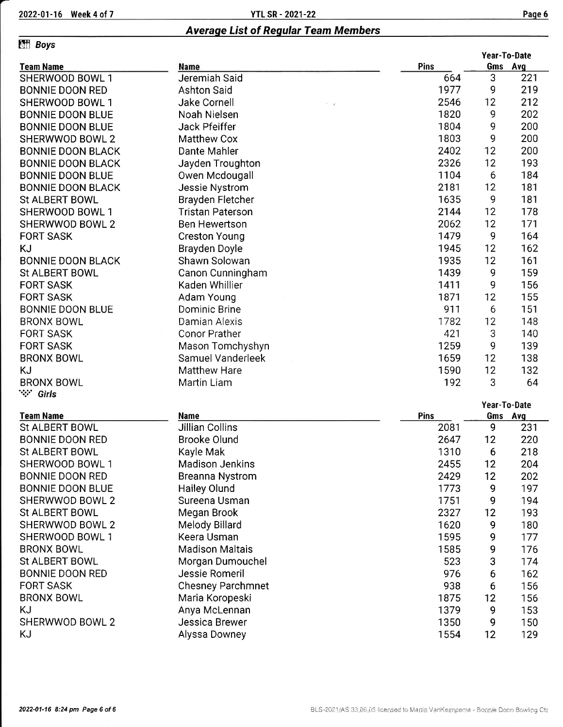### **Effi** Boys

| .                        |                         |             |    | Year-To-Date   |
|--------------------------|-------------------------|-------------|----|----------------|
| <b>Team Name</b>         | Name<br>Jeremiah Said   | Pins<br>664 | 3  | Gms Avg<br>221 |
| SHERWOOD BOWL 1          |                         |             |    |                |
| <b>BONNIE DOON RED</b>   | <b>Ashton Said</b>      | 1977        | 9  | 219            |
| SHERWOOD BOWL 1          | Jake Cornell            | 2546        | 12 | 212            |
| <b>BONNIE DOON BLUE</b>  | Noah Nielsen            | 1820        | 9  | 202            |
| <b>BONNIE DOON BLUE</b>  | <b>Jack Pfeiffer</b>    | 1804        | 9  | 200            |
| SHERWWOD BOWL 2          | <b>Matthew Cox</b>      | 1803        | 9  | 200            |
| <b>BONNIE DOON BLACK</b> | Dante Mahler            | 2402        | 12 | 200            |
| <b>BONNIE DOON BLACK</b> | Jayden Troughton        | 2326        | 12 | 193            |
| <b>BONNIE DOON BLUE</b>  | Owen Mcdougall          | 1104        | 6  | 184            |
| <b>BONNIE DOON BLACK</b> | <b>Jessie Nystrom</b>   | 2181        | 12 | 181            |
| <b>St ALBERT BOWL</b>    | Brayden Fletcher        | 1635        | 9  | 181            |
| SHERWOOD BOWL 1          | <b>Tristan Paterson</b> | 2144        | 12 | 178            |
| SHERWWOD BOWL 2          | <b>Ben Hewertson</b>    | 2062        | 12 | 171            |
| <b>FORT SASK</b>         | <b>Creston Young</b>    | 1479        | 9  | 164            |
| KJ                       | Brayden Doyle           | 1945        | 12 | 162            |
| <b>BONNIE DOON BLACK</b> | Shawn Solowan           | 1935        | 12 | 161            |
| St ALBERT BOWL           | Canon Cunningham        | 1439        | 9  | 159            |
| <b>FORT SASK</b>         | Kaden Whillier          | 1411        | 9  | 156            |
| <b>FORT SASK</b>         | Adam Young              | 1871        | 12 | 155            |
| <b>BONNIE DOON BLUE</b>  | Dominic Brine           | 911         | 6  | 151            |
| <b>BRONX BOWL</b>        | Damian Alexis           | 1782        | 12 | 148            |
| <b>FORT SASK</b>         | Conor Prather           | 421         | 3  | 140            |
| <b>FORT SASK</b>         | Mason Tomchyshyn        | 1259        | 9  | 139            |
| <b>BRONX BOWL</b>        | Samuel Vanderleek       | 1659        | 12 | 138            |
| ΚJ                       | <b>Matthew Hare</b>     | 1590        | 12 | 132            |
| <b>BRONX BOWL</b>        | <b>Martin Liam</b>      | 192         | 3  | 64             |
| ∵∵ Girls                 |                         |             |    |                |
|                          |                         |             |    | Year-To-Date   |
| <b>Team Name</b>         | <b>Name</b>             | <b>Pins</b> |    | Gms Avg        |
| <b>St ALBERT BOWL</b>    | Jillian Collins         | 2081        | 9  | 231            |
|                          |                         |             |    |                |

| St ALBERT BOWL          | <b>Jillian Collins</b>   | 2081 | 9  | 231 |
|-------------------------|--------------------------|------|----|-----|
| <b>BONNIE DOON RED</b>  | <b>Brooke Olund</b>      | 2647 | 12 | 220 |
| St ALBERT BOWL          | Kayle Mak                | 1310 | 6  | 218 |
| SHERWOOD BOWL 1         | <b>Madison Jenkins</b>   | 2455 | 12 | 204 |
| <b>BONNIE DOON RED</b>  | <b>Breanna Nystrom</b>   | 2429 | 12 | 202 |
| <b>BONNIE DOON BLUE</b> | <b>Hailey Olund</b>      | 1773 | 9  | 197 |
| SHERWWOD BOWL 2         | Sureena Usman            | 1751 | 9  | 194 |
| St ALBERT BOWL          | Megan Brook              | 2327 | 12 | 193 |
| SHERWWOD BOWL 2         | Melody Billard           | 1620 | 9  | 180 |
| SHERWOOD BOWL 1         | Keera Usman              | 1595 | 9  | 177 |
| <b>BRONX BOWL</b>       | <b>Madison Maltais</b>   | 1585 | 9  | 176 |
| St ALBERT BOWL          | Morgan Dumouchel         | 523  | 3  | 174 |
| <b>BONNIE DOON RED</b>  | Jessie Romeril           | 976  | 6  | 162 |
| <b>FORT SASK</b>        | <b>Chesney Parchmnet</b> | 938  | 6  | 156 |
| <b>BRONX BOWL</b>       | Maria Koropeski          | 1875 | 12 | 156 |
| ΚJ                      | Anya McLennan            | 1379 | 9  | 153 |
| SHERWWOD BOWL 2         | Jessica Brewer           | 1350 | 9  | 150 |
| ΚJ                      | Alyssa Downey            | 1554 | 12 | 129 |